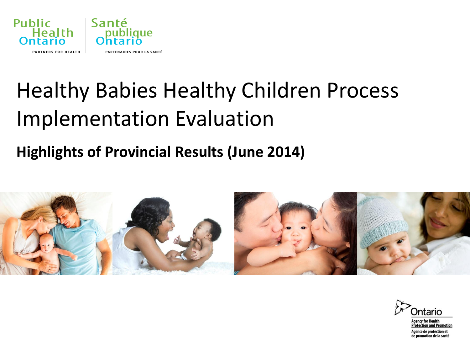

# Healthy Babies Healthy Children Process Implementation Evaluation

#### **Highlights of Provincial Results (June 2014)**



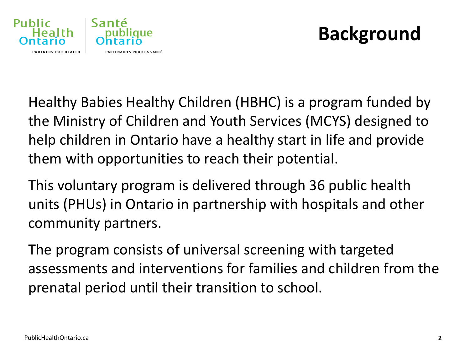

## **Background**

Healthy Babies Healthy Children (HBHC) is a program funded by the Ministry of Children and Youth Services (MCYS) designed to help children in Ontario have a healthy start in life and provide them with opportunities to reach their potential.

This voluntary program is delivered through 36 public health units (PHUs) in Ontario in partnership with hospitals and other community partners.

The program consists of universal screening with targeted assessments and interventions for families and children from the prenatal period until their transition to school.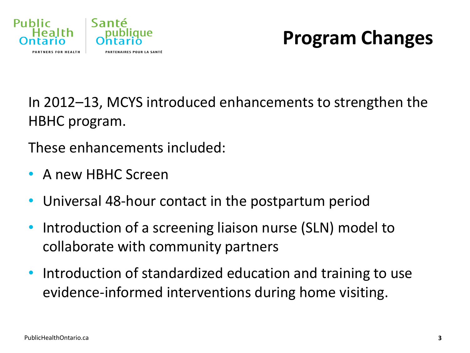

## **Program Changes**

In 2012–13, MCYS introduced enhancements to strengthen the HBHC program.

These enhancements included:

- A new HBHC Screen
- Universal 48-hour contact in the postpartum period
- Introduction of a screening liaison nurse (SLN) model to collaborate with community partners
- Introduction of standardized education and training to use evidence-informed interventions during home visiting.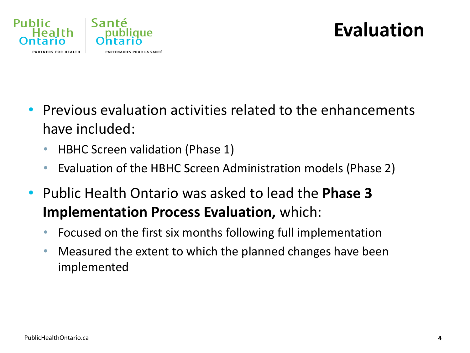

## **Evaluation**

- Previous evaluation activities related to the enhancements have included:
	- HBHC Screen validation (Phase 1)
	- Evaluation of the HBHC Screen Administration models (Phase 2)
- Public Health Ontario was asked to lead the **Phase 3 Implementation Process Evaluation,** which:
	- Focused on the first six months following full implementation
	- Measured the extent to which the planned changes have been implemented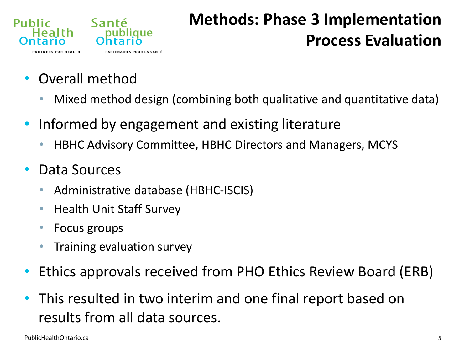

### **Methods: Phase 3 Implementation Process Evaluation**

- Overall method
	- Mixed method design (combining both qualitative and quantitative data)
- Informed by engagement and existing literature
	- HBHC Advisory Committee, HBHC Directors and Managers, MCYS
- Data Sources
	- Administrative database (HBHC-ISCIS)
	- Health Unit Staff Survey
	- Focus groups
	- Training evaluation survey
- Ethics approvals received from PHO Ethics Review Board (ERB)
- This resulted in two interim and one final report based on results from all data sources.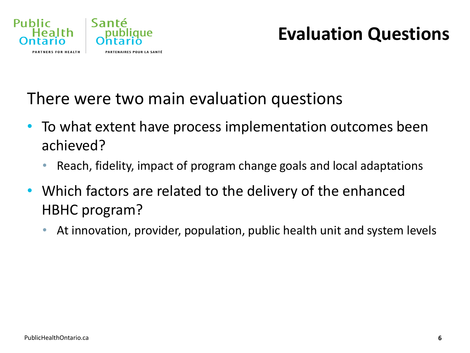

### **Evaluation Questions**

#### There were two main evaluation questions

- To what extent have process implementation outcomes been achieved?
	- Reach, fidelity, impact of program change goals and local adaptations
- Which factors are related to the delivery of the enhanced HBHC program?
	- At innovation, provider, population, public health unit and system levels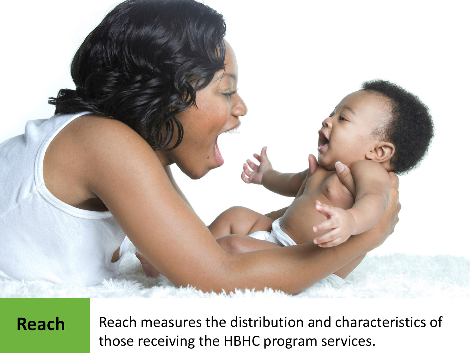

**Publicario.** Those receiving the HBHC program services. **Reach** Reach measures the distribution and characteristics of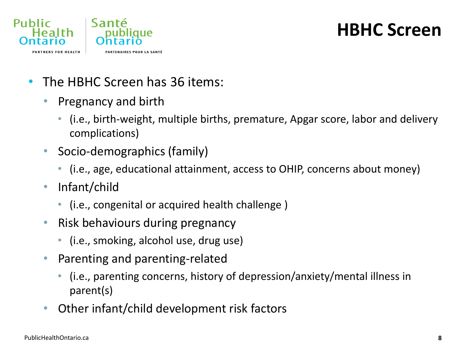

#### **HBHC Screen**

- The HBHC Screen has 36 items:
	- Pregnancy and birth
		- (i.e., birth-weight, multiple births, premature, Apgar score, labor and delivery complications)
	- Socio-demographics (family)
		- (i.e., age, educational attainment, access to OHIP, concerns about money)
	- Infant/child
		- (i.e., congenital or acquired health challenge )
	- Risk behaviours during pregnancy
		- (i.e., smoking, alcohol use, drug use)
	- Parenting and parenting-related
		- (i.e., parenting concerns, history of depression/anxiety/mental illness in parent(s)
	- Other infant/child development risk factors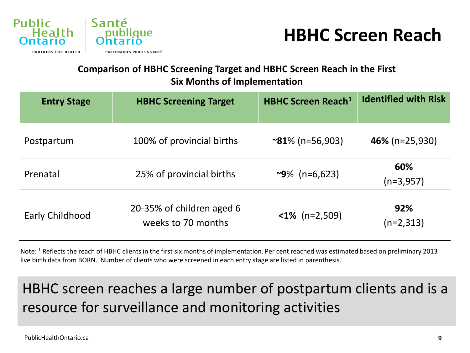



#### **Comparison of HBHC Screening Target and HBHC Screen Reach in the First Six Months of Implementation**

| <b>Entry Stage</b> | <b>HBHC Screening Target</b>                    | <b>HBHC Screen Reach<sup>1</sup></b> | <b>Identified with Risk</b> |
|--------------------|-------------------------------------------------|--------------------------------------|-----------------------------|
| Postpartum         | 100% of provincial births                       | $\sim$ 81% (n=56,903)                | 46% ( $n=25,930$ )          |
| Prenatal           | 25% of provincial births                        | $\sim$ 9% (n=6,623)                  | 60%<br>$(n=3,957)$          |
| Early Childhood    | 20-35% of children aged 6<br>weeks to 70 months | $\langle 1\% \rangle$ (n=2,509)      | 92%<br>$(n=2,313)$          |

Note: <sup>1</sup> Reflects the reach of HBHC clients in the first six months of implementation. Per cent reached was estimated based on preliminary 2013 live birth data from BORN. Number of clients who were screened in each entry stage are listed in parenthesis.

#### HBHC screen reaches a large number of postpartum clients and is a resource for surveillance and monitoring activities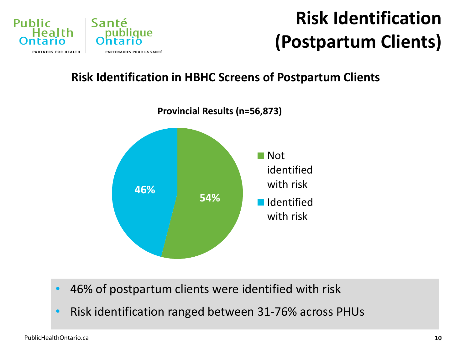

## **Risk Identification (Postpartum Clients)**

#### **Risk Identification in HBHC Screens of Postpartum Clients**



- 46% of postpartum clients were identified with risk
- Risk identification ranged between 31-76% across PHUs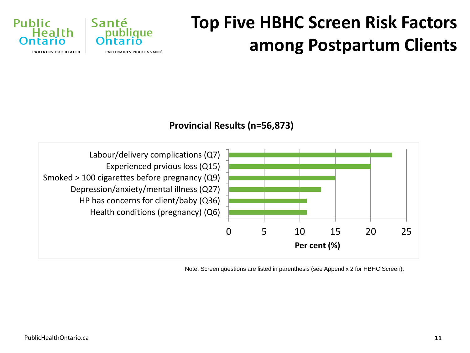## **Top Five HBHC Screen Risk Factors among Postpartum Clients**









Note: Screen questions are listed in parenthesis (see Appendix 2 for HBHC Screen).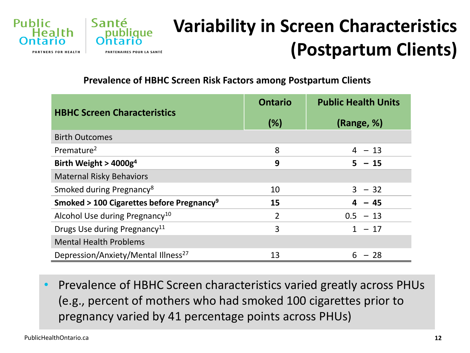

## **Variability in Screen Characteristics (Postpartum Clients)**

**Prevalence of HBHC Screen Risk Factors among Postpartum Clients**

|                                                       | <b>Ontario</b> | <b>Public Health Units</b> |
|-------------------------------------------------------|----------------|----------------------------|
| <b>HBHC Screen Characteristics</b>                    | (%)            | (Range, %)                 |
| <b>Birth Outcomes</b>                                 |                |                            |
| Premature <sup>2</sup>                                | 8              | $4 - 13$                   |
| Birth Weight > $4000g4$                               | 9              | $5 - 15$                   |
| <b>Maternal Risky Behaviors</b>                       |                |                            |
| Smoked during Pregnancy <sup>8</sup>                  | 10             | $3 - 32$                   |
| Smoked > 100 Cigarettes before Pregnancy <sup>9</sup> | 15             | $4 - 45$                   |
| Alcohol Use during Pregnancy <sup>10</sup>            | $\overline{2}$ | $0.5 - 13$                 |
| Drugs Use during Pregnancy <sup>11</sup>              | 3              | $1 - 17$                   |
| <b>Mental Health Problems</b>                         |                |                            |
| Depression/Anxiety/Mental Illness <sup>27</sup>       | 13             | $-28$<br>6                 |

• Prevalence of HBHC Screen characteristics varied greatly across PHUs (e.g., percent of mothers who had smoked 100 cigarettes prior to pregnancy varied by 41 percentage points across PHUs)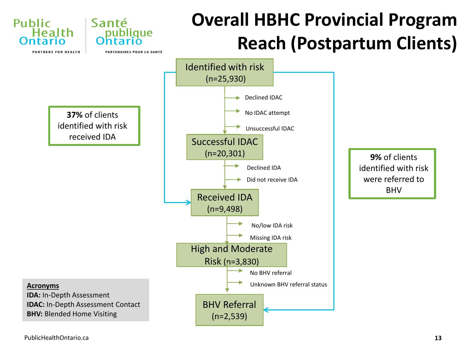

[PublicHealthOntario.ca](http://www.publichealthontario.ca/)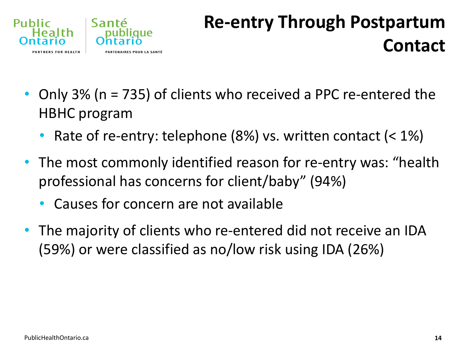

## **Re-entry Through Postpartum Contact**

- Only 3% (n = 735) of clients who received a PPC re-entered the HBHC program
	- Rate of re-entry: telephone  $(8%)$  vs. written contact  $($  < 1% $)$
- The most commonly identified reason for re-entry was: "health professional has concerns for client/baby" (94%)
	- Causes for concern are not available
- The majority of clients who re-entered did not receive an IDA (59%) or were classified as no/low risk using IDA (26%)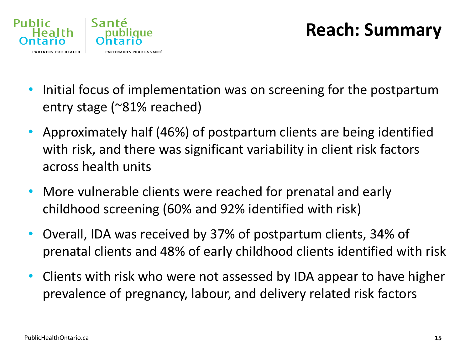

### **Reach: Summary**

- Initial focus of implementation was on screening for the postpartum entry stage (~81% reached)
- Approximately half (46%) of postpartum clients are being identified with risk, and there was significant variability in client risk factors across health units
- More vulnerable clients were reached for prenatal and early childhood screening (60% and 92% identified with risk)
- Overall, IDA was received by 37% of postpartum clients, 34% of prenatal clients and 48% of early childhood clients identified with risk
- Clients with risk who were not assessed by IDA appear to have higher prevalence of pregnancy, labour, and delivery related risk factors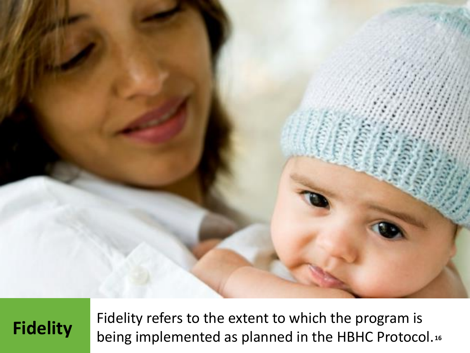

Fidelity

Fidelity refers to the extent to which the program is being implemented as planned in the HBHC Protocol.**16**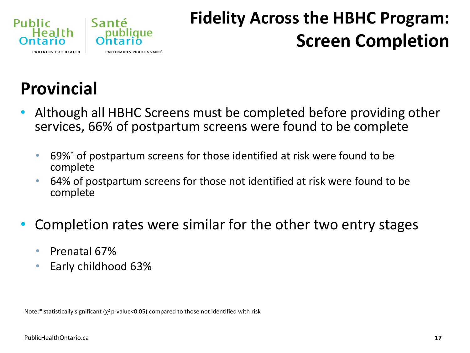

## **Fidelity Across the HBHC Program: Screen Completion**

## **Provincial**

- Although all HBHC Screens must be completed before providing other services, 66% of postpartum screens were found to be complete
	- 69%\* of postpartum screens for those identified at risk were found to be complete
	- 64% of postpartum screens for those not identified at risk were found to be complete
- Completion rates were similar for the other two entry stages
	- Prenatal 67%
	- Early childhood 63%

Note:\* statistically significant ( $\chi^2$  p-value<0.05) compared to those not identified with risk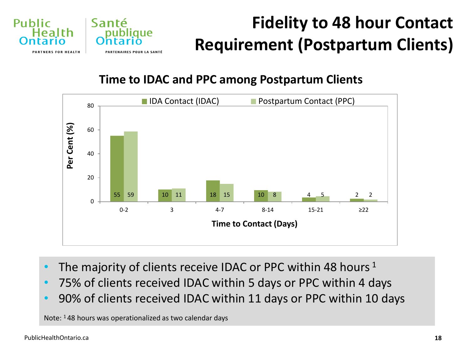

## **Fidelity to 48 hour Contact Requirement (Postpartum Clients)**

**Time to IDAC and PPC among Postpartum Clients**



- The majority of clients receive IDAC or PPC within 48 hours  $1$
- 75% of clients received IDAC within 5 days or PPC within 4 days
- 90% of clients received IDAC within 11 days or PPC within 10 days

Note: 1 48 hours was operationalized as two calendar days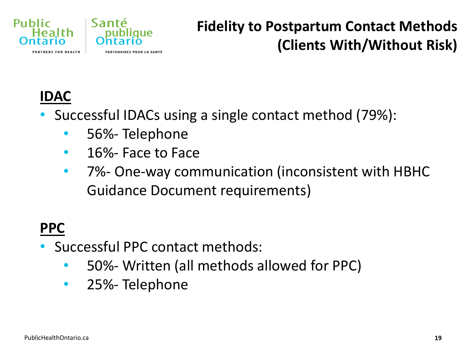

#### **Fidelity to Postpartum Contact Methods (Clients With/Without Risk)**

#### **IDAC**

- Successful IDACs using a single contact method (79%):
	- 56%- Telephone
	- 16%- Face to Face
	- 7%- One-way communication (inconsistent with HBHC Guidance Document requirements)

### **PPC**

- Successful PPC contact methods:
	- 50%- Written (all methods allowed for PPC)
	- 25%-Telephone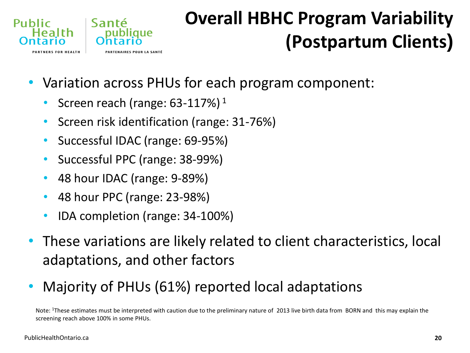

## **Overall HBHC Program Variability (Postpartum Clients)**

- Variation across PHUs for each program component:
	- Screen reach (range:  $63-117\%$ )<sup>1</sup>
	- Screen risk identification (range: 31-76%)
	- Successful IDAC (range: 69-95%)
	- Successful PPC (range: 38-99%)
	- 48 hour IDAC (range: 9-89%)
	- 48 hour PPC (range: 23-98%)
	- IDA completion (range: 34-100%)
- These variations are likely related to client characteristics, local adaptations, and other factors
- Majority of PHUs (61%) reported local adaptations

Note: <sup>1</sup>These estimates must be interpreted with caution due to the preliminary nature of 2013 live birth data from BORN and this may explain the screening reach above 100% in some PHUs.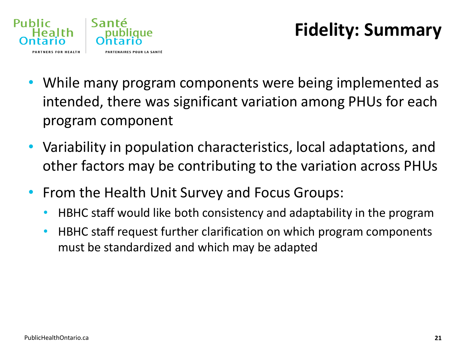

## **Fidelity: Summary**

- While many program components were being implemented as intended, there was significant variation among PHUs for each program component
- Variability in population characteristics, local adaptations, and other factors may be contributing to the variation across PHUs
- From the Health Unit Survey and Focus Groups:
	- HBHC staff would like both consistency and adaptability in the program
	- HBHC staff request further clarification on which program components must be standardized and which may be adapted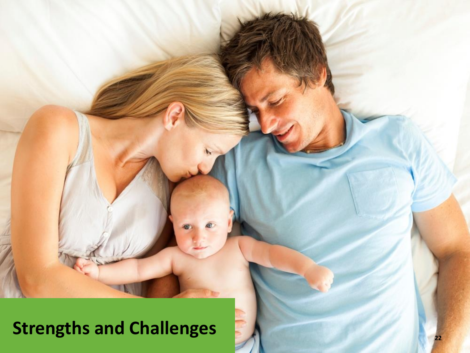## **[Strengths](http://www.publichealthontario.ca/) and Challenges**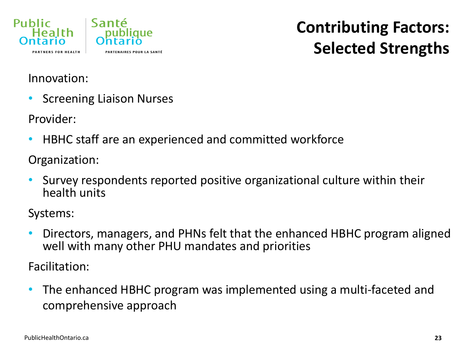

#### **Contributing Factors: Selected Strengths**

#### Innovation:

• Screening Liaison Nurses

Provider:

• HBHC staff are an experienced and committed workforce

Organization:

• Survey respondents reported positive organizational culture within their health units

Systems:

• Directors, managers, and PHNs felt that the enhanced HBHC program aligned well with many other PHU mandates and priorities

Facilitation:

• The enhanced HBHC program was implemented using a multi-faceted and comprehensive approach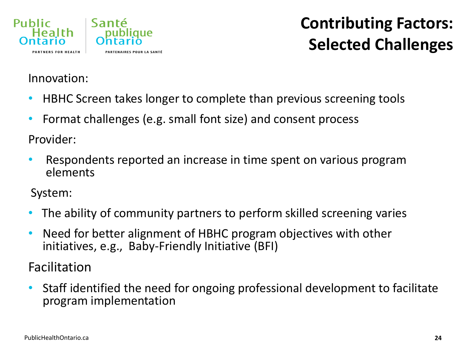

### **Contributing Factors: Selected Challenges**

#### Innovation:

- HBHC Screen takes longer to complete than previous screening tools
- Format challenges (e.g. small font size) and consent process

Provider:

• Respondents reported an increase in time spent on various program elements

System:

- The ability of community partners to perform skilled screening varies
- Need for better alignment of HBHC program objectives with other initiatives, e.g., Baby-Friendly Initiative (BFI)

Facilitation

• Staff identified the need for ongoing professional development to facilitate program implementation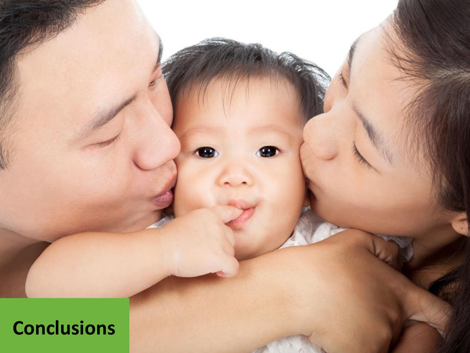**[Conclusio](http://www.publichealthontario.ca/)ns**